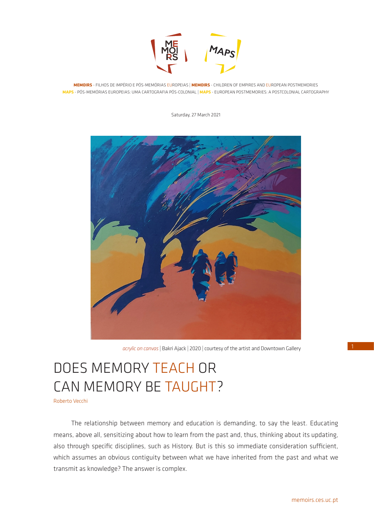

**MEMOIRS** - FILHOS DE IMPÉRIO E PÓS-MEMÓRIAS EUROPEIAS | **MEMOIRS** - CHILDREN OF EMPIRES AND EUROPEAN POSTMEMORIES **MAPS** - PÓS-MEMÓRIAS EUROPEIAS: UMA CARTOGRAFIA PÓS-COLONIAL | **MAPS** - EUROPEAN POSTMEMORIES: A POSTCOLONIAL CARTOGRAPHY

Saturday, 27 March 2021



*acrylic on canvas* | Bakri Ajack | 2020 | courtesy of the artist and Downtown Gallery

# DOES MEMORY TEACH OR CAN MEMORY BE TAUGHT?

Roberto Vecchi

The relationship between memory and education is demanding, to say the least. Educating means, above all, sensitizing about how to learn from the past and, thus, thinking about its updating, also through specific disciplines, such as History. But is this so immediate consideration sufficient, which assumes an obvious contiguity between what we have inherited from the past and what we transmit as knowledge? The answer is complex.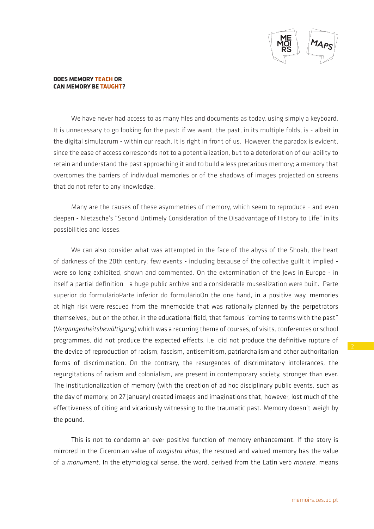

We have never had access to as many files and documents as today, using simply a keyboard. It is unnecessary to go looking for the past: if we want, the past, in its multiple folds, is - albeit in the digital simulacrum - within our reach. It is right in front of us. However, the paradox is evident, since the ease of access corresponds not to a potentialization, but to a deterioration of our ability to retain and understand the past approaching it and to build a less precarious memory; a memory that overcomes the barriers of individual memories or of the shadows of images projected on screens that do not refer to any knowledge.

Many are the causes of these asymmetries of memory, which seem to reproduce - and even deepen - Nietzsche's "Second Untimely Consideration of the Disadvantage of History to Life" in its possibilities and losses.

We can also consider what was attempted in the face of the abyss of the Shoah, the heart of darkness of the 20th century: few events - including because of the collective guilt it implied were so long exhibited, shown and commented. On the extermination of the lews in Europe - in itself a partial definition - a huge public archive and a considerable musealization were built. Parte superior do formulárioParte inferior do formulárioOn the one hand, in a positive way, memories at high risk were rescued from the mnemocide that was rationally planned by the perpetrators themselves,; but on the other, in the educational field, that famous "coming to terms with the past" (*Vergangenheitsbewältigung*) which was a recurring theme of courses, of visits, conferences or school programmes, did not produce the expected effects, i.e. did not produce the definitive rupture of the device of reproduction of racism, fascism, antisemitism, patriarchalism and other authoritarian forms of discrimination. On the contrary, the resurgences of discriminatory intolerances, the regurgitations of racism and colonialism, are present in contemporary society, stronger than ever. The institutionalization of memory (with the creation of ad hoc disciplinary public events, such as the day of memory, on 27 January) created images and imaginations that, however, lost much of the effectiveness of citing and vicariously witnessing to the traumatic past. Memory doesn't weigh by the pound.

This is not to condemn an ever positive function of memory enhancement. If the story is mirrored in the Ciceronian value of *magistra vitae*, the rescued and valued memory has the value of a *monument*. In the etymological sense, the word, derived from the Latin verb *monere*, means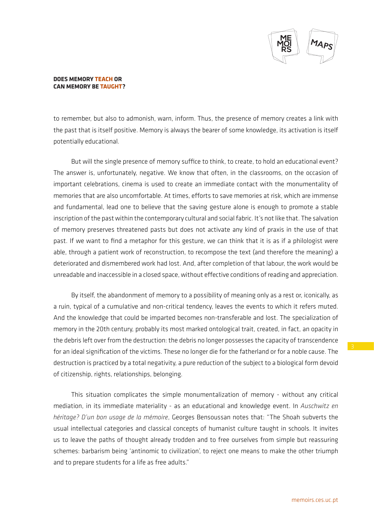

to remember, but also to admonish, warn, inform. Thus, the presence of memory creates a link with the past that is itself positive. Memory is always the bearer of some knowledge, its activation is itself potentially educational.

But will the single presence of memory suffice to think, to create, to hold an educational event? The answer is, unfortunately, negative. We know that often, in the classrooms, on the occasion of important celebrations, cinema is used to create an immediate contact with the monumentality of memories that are also uncomfortable. At times, efforts to save memories at risk, which are immense and fundamental, lead one to believe that the saving gesture alone is enough to promote a stable inscription of the past within the contemporary cultural and social fabric. It's not like that. The salvation of memory preserves threatened pasts but does not activate any kind of praxis in the use of that past. If we want to find a metaphor for this gesture, we can think that it is as if a philologist were able, through a patient work of reconstruction, to recompose the text (and therefore the meaning) a deteriorated and dismembered work had lost. And, after completion of that labour, the work would be unreadable and inaccessible in a closed space, without effective conditions of reading and appreciation.

By itself, the abandonment of memory to a possibility of meaning only as a rest or, iconically, as a ruin, typical of a cumulative and non-critical tendency, leaves the events to which it refers muted. And the knowledge that could be imparted becomes non-transferable and lost. The specialization of memory in the 20th century, probably its most marked ontological trait, created, in fact, an opacity in the debris left over from the destruction: the debris no longer possesses the capacity of transcendence for an ideal signification of the victims. These no longer die for the fatherland or for a noble cause. The destruction is practiced by a total negativity, a pure reduction of the subject to a biological form devoid of citizenship, rights, relationships, belonging.

This situation complicates the simple monumentalization of memory - without any critical mediation, in its immediate materiality - as an educational and knowledge event. In *Auschwitz en héritage? D'un bon usage de la mémoire*, Georges Bensoussan notes that: "The Shoah subverts the usual intellectual categories and classical concepts of humanist culture taught in schools. It invites us to leave the paths of thought already trodden and to free ourselves from simple but reassuring schemes: barbarism being 'antinomic to civilization', to reject one means to make the other triumph and to prepare students for a life as free adults."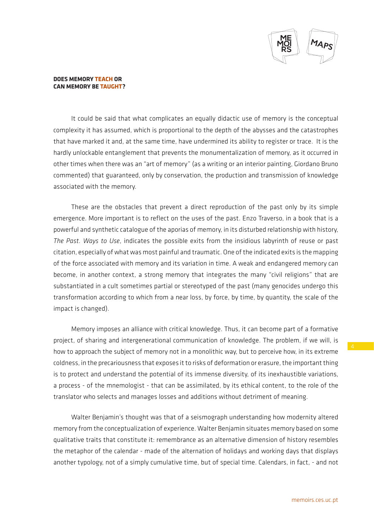

It could be said that what complicates an equally didactic use of memory is the conceptual complexity it has assumed, which is proportional to the depth of the abysses and the catastrophes that have marked it and, at the same time, have undermined its ability to register or trace. It is the hardly unlockable entanglement that prevents the monumentalization of memory, as it occurred in other times when there was an "art of memory" (as a writing or an interior painting, Giordano Bruno commented) that guaranteed, only by conservation, the production and transmission of knowledge associated with the memory.

These are the obstacles that prevent a direct reproduction of the past only by its simple emergence. More important is to reflect on the uses of the past. Enzo Traverso, in a book that is a powerful and synthetic catalogue of the aporias of memory, in its disturbed relationship with history, *The Past. Ways to Use*, indicates the possible exits from the insidious labyrinth of reuse or past citation, especially of what was most painful and traumatic. One of the indicated exits is the mapping of the force associated with memory and its variation in time. A weak and endangered memory can become, in another context, a strong memory that integrates the many "civil religions" that are substantiated in a cult sometimes partial or stereotyped of the past (many genocides undergo this transformation according to which from a near loss, by force, by time, by quantity, the scale of the impact is changed).

Memory imposes an alliance with critical knowledge. Thus, it can become part of a formative project, of sharing and intergenerational communication of knowledge. The problem, if we will, is how to approach the subject of memory not in a monolithic way, but to perceive how, in its extreme coldness, in the precariousness that exposes it to risks of deformation or erasure, the important thing is to protect and understand the potential of its immense diversity, of its inexhaustible variations, a process - of the mnemologist - that can be assimilated, by its ethical content, to the role of the translator who selects and manages losses and additions without detriment of meaning.

Walter Benjamin's thought was that of a seismograph understanding how modernity altered memory from the conceptualization of experience. Walter Benjamin situates memory based on some qualitative traits that constitute it: remembrance as an alternative dimension of history resembles the metaphor of the calendar - made of the alternation of holidays and working days that displays another typology, not of a simply cumulative time, but of special time. Calendars, in fact, - and not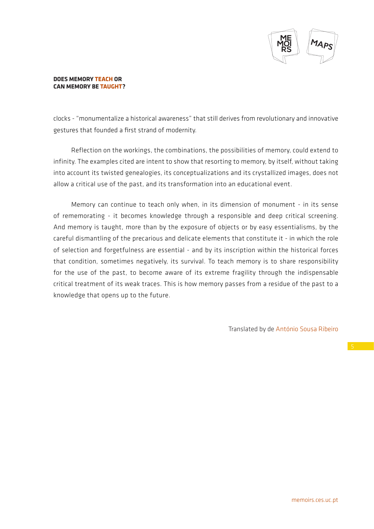

clocks - "monumentalize a historical awareness" that still derives from revolutionary and innovative gestures that founded a first strand of modernity.

Reflection on the workings, the combinations, the possibilities of memory, could extend to infinity. The examples cited are intent to show that resorting to memory, by itself, without taking into account its twisted genealogies, its conceptualizations and its crystallized images, does not allow a critical use of the past, and its transformation into an educational event.

Memory can continue to teach only when, in its dimension of monument - in its sense of rememorating - it becomes knowledge through a responsible and deep critical screening. And memory is taught, more than by the exposure of objects or by easy essentialisms, by the careful dismantling of the precarious and delicate elements that constitute it - in which the role of selection and forgetfulness are essential - and by its inscription within the historical forces that condition, sometimes negatively, its survival. To teach memory is to share responsibility for the use of the past, to become aware of its extreme fragility through the indispensable critical treatment of its weak traces. This is how memory passes from a residue of the past to a knowledge that opens up to the future.

Translated by de António Sousa Ribeiro